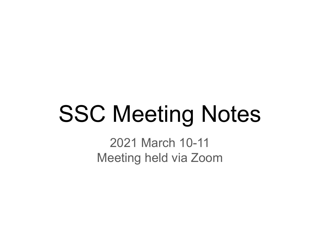# SSC Meeting Notes

2021 March 10-11 Meeting held via Zoom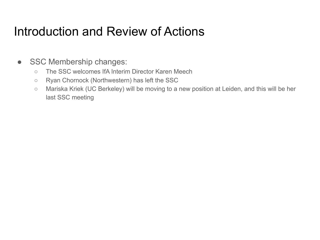#### Introduction and Review of Actions

- SSC Membership changes:
	- The SSC welcomes IfA Interim Director Karen Meech
	- Ryan Chornock (Northwestern) has left the SSC
	- Mariska Kriek (UC Berkeley) will be moving to a new position at Leiden, and this will be her last SSC meeting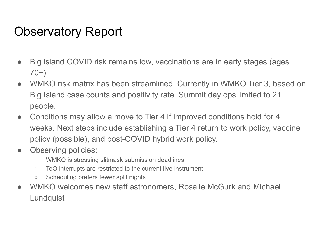# Observatory Report

- Big island COVID risk remains low, vaccinations are in early stages (ages 70+)
- WMKO risk matrix has been streamlined. Currently in WMKO Tier 3, based on Big Island case counts and positivity rate. Summit day ops limited to 21 people.
- Conditions may allow a move to Tier 4 if improved conditions hold for 4 weeks. Next steps include establishing a Tier 4 return to work policy, vaccine policy (possible), and post-COVID hybrid work policy.
- Observing policies:
	- WMKO is stressing slitmask submission deadlines
	- ToO interrupts are restricted to the current live instrument
	- Scheduling prefers fewer split nights
- WMKO welcomes new staff astronomers, Rosalie McGurk and Michael **Lundquist**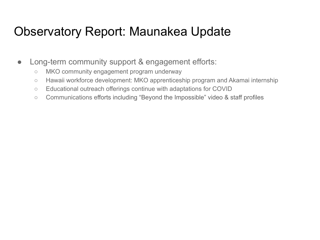#### Observatory Report: Maunakea Update

- Long-term community support & engagement efforts:
	- MKO community engagement program underway
	- Hawaii workforce development: MKO apprenticeship program and Akamai internship
	- Educational outreach offerings continue with adaptations for COVID
	- Communications efforts including "Beyond the Impossible" video & staff profiles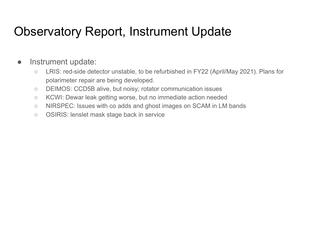#### Observatory Report, Instrument Update

#### • Instrument update:

- LRIS: red-side detector unstable, to be refurbished in FY22 (April/May 2021). Plans for polarimeter repair are being developed.
- DEIMOS: CCD5B alive, but noisy; rotator communication issues
- KCWI: Dewar leak getting worse, but no immediate action needed
- NIRSPEC: Issues with co adds and ghost images on SCAM in LM bands
- OSIRIS: lenslet mask stage back in service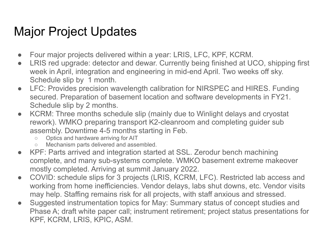# Major Project Updates

- Four major projects delivered within a year: LRIS, LFC, KPF, KCRM.
- LRIS red upgrade: detector and dewar. Currently being finished at UCO, shipping first week in April, integration and engineering in mid-end April. Two weeks off sky. Schedule slip by 1 month.
- LFC: Provides precision wavelength calibration for NIRSPEC and HIRES. Funding secured. Preparation of basement location and software developments in FY21. Schedule slip by 2 months.
- KCRM: Three months schedule slip (mainly due to Winlight delays and cryostat rework). WMKO preparing transport K2-cleanroom and completing guider sub assembly. Downtime 4-5 months starting in Feb.
	- Optics and hardware arriving for AIT
	- Mechanism parts delivered and assembled.
- KPF: Parts arrived and integration started at SSL. Zerodur bench machining complete, and many sub-systems complete. WMKO basement extreme makeover mostly completed. Arriving at summit January 2022.
- COVID: schedule slips for 3 projects (LRIS, KCRM, LFC). Restricted lab access and working from home inefficiencies. Vendor delays, labs shut downs, etc. Vendor visits may help. Staffing remains risk for all projects, with staff anxious and stressed.
- Suggested instrumentation topics for May: Summary status of concept studies and Phase A; draft white paper call; instrument retirement; project status presentations for KPF, KCRM, LRIS, KPIC, ASM.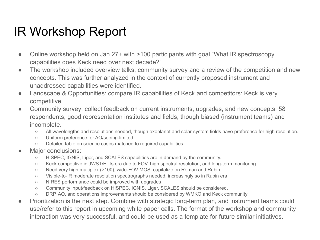### IR Workshop Report

- Online workshop held on Jan 27+ with >100 participants with goal "What IR spectroscopy" capabilities does Keck need over next decade?"
- The workshop included overview talks, community survey and a review of the competition and new concepts. This was further analyzed in the context of currently proposed instrument and unaddressed capabilities were identified.
- Landscape & Opportunities: compare IR capabilities of Keck and competitors: Keck is very competitive
- Community survey: collect feedback on current instruments, upgrades, and new concepts. 58 respondents, good representation institutes and fields, though biased (instrument teams) and incomplete.
	- All wavelengths and resolutions needed, though exoplanet and solar-system fields have preference for high resolution.
	- Uniform preference for AO/seeing-limited.
	- Detailed table on science cases matched to required capabilities.
- Major conclusions:
	- HISPEC, IGNIS, Liger, and SCALES capabilities are in demand by the community.
	- Keck competitive in JWST/ELTs era due to FOV, high spectral resolution, and long-term monitoring
	- Need very high multiplex (>100), wide-FOV MOS: capitalize on Roman and Rubin.
	- Visible-to-IR moderate resolution spectrographs needed, increasingly so in Rubin era
	- NIRES performance could be improved with upgrades
	- Community input/feedback on HISPEC, IGNIS, Liger, SCALES should be considered.
	- DRP, AO, and operations improvements should be considered by WMKO and Keck community
- Prioritization is the next step. Combine with strategic long-term plan, and instrument teams could use/refer to this report in upcoming white paper calls. The format of the workshop and community interaction was very successful, and could be used as a template for future similar initiatives.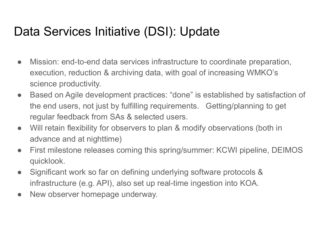# Data Services Initiative (DSI): Update

- Mission: end-to-end data services infrastructure to coordinate preparation, execution, reduction & archiving data, with goal of increasing WMKO's science productivity.
- Based on Agile development practices: "done" is established by satisfaction of the end users, not just by fulfilling requirements. Getting/planning to get regular feedback from SAs & selected users.
- Will retain flexibility for observers to plan & modify observations (both in advance and at nighttime)
- First milestone releases coming this spring/summer: KCWI pipeline, DEIMOS quicklook.
- Significant work so far on defining underlying software protocols & infrastructure (e.g. API), also set up real-time ingestion into KOA.
- New observer homepage underway.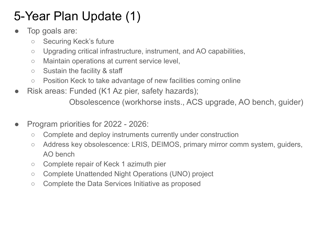# 5-Year Plan Update (1)

- Top goals are:
	- Securing Keck's future
	- Upgrading critical infrastructure, instrument, and AO capabilities,
	- Maintain operations at current service level,
	- Sustain the facility & staff
	- Position Keck to take advantage of new facilities coming online
- Risk areas: Funded (K1 Az pier, safety hazards);

Obsolescence (workhorse insts., ACS upgrade, AO bench, guider)

- Program priorities for 2022 2026:
	- Complete and deploy instruments currently under construction
	- Address key obsolescence: LRIS, DEIMOS, primary mirror comm system, guiders, AO bench
	- Complete repair of Keck 1 azimuth pier
	- Complete Unattended Night Operations (UNO) project
	- Complete the Data Services Initiative as proposed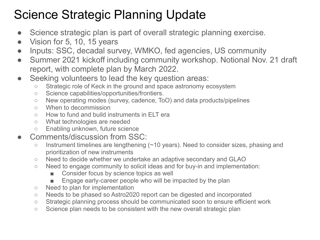# Science Strategic Planning Update

- Science strategic plan is part of overall strategic planning exercise.
- Vision for 5, 10, 15 years
- Inputs: SSC, decadal survey, WMKO, fed agencies, US community
- Summer 2021 kickoff including community workshop. Notional Nov. 21 draft report, with complete plan by March 2022.
- Seeking volunteers to lead the key question areas:
	- Strategic role of Keck in the ground and space astronomy ecosystem
	- Science capabilities/opportunities/frontiers.
	- New operating modes (survey, cadence, ToO) and data products/pipelines
	- When to decommission
	- How to fund and build instruments in ELT era
	- What technologies are needed
	- Enabling unknown, future science
- Comments/discussion from SSC:
	- Instrument timelines are lengthening (~10 years). Need to consider sizes, phasing and prioritization of new instruments
	- Need to decide whether we undertake an adaptive secondary and GLAO
	- Need to engage community to solicit ideas and for buy-in and implementation:
		- Consider focus by science topics as well
		- Engage early-career people who will be impacted by the plan
	- Need to plan for implementation
	- Needs to be phased so Astro2020 report can be digested and incorporated
	- Strategic planning process should be communicated soon to ensure efficient work
	- Science plan needs to be consistent with the new overall strategic plan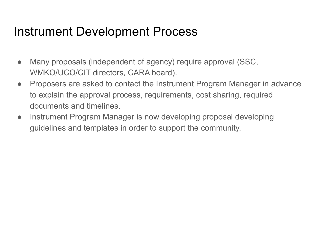#### Instrument Development Process

- Many proposals (independent of agency) require approval (SSC, WMKO/UCO/CIT directors, CARA board).
- Proposers are asked to contact the Instrument Program Manager in advance to explain the approval process, requirements, cost sharing, required documents and timelines.
- Instrument Program Manager is now developing proposal developing guidelines and templates in order to support the community.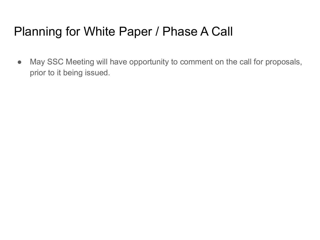# Planning for White Paper / Phase A Call

• May SSC Meeting will have opportunity to comment on the call for proposals, prior to it being issued.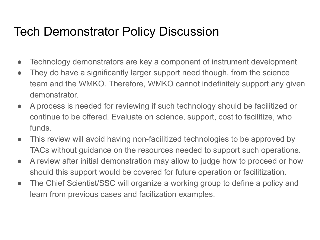# Tech Demonstrator Policy Discussion

- Technology demonstrators are key a component of instrument development
- They do have a significantly larger support need though, from the science team and the WMKO. Therefore, WMKO cannot indefinitely support any given demonstrator.
- A process is needed for reviewing if such technology should be facilitized or continue to be offered. Evaluate on science, support, cost to facilitize, who funds.
- This review will avoid having non-facilitized technologies to be approved by TACs without guidance on the resources needed to support such operations.
- A review after initial demonstration may allow to judge how to proceed or how should this support would be covered for future operation or facilitization.
- The Chief Scientist/SSC will organize a working group to define a policy and learn from previous cases and facilization examples.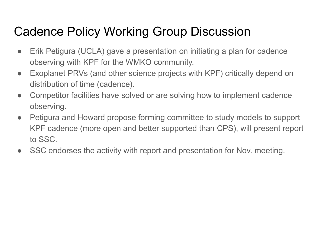# Cadence Policy Working Group Discussion

- Erik Petigura (UCLA) gave a presentation on initiating a plan for cadence observing with KPF for the WMKO community.
- Exoplanet PRVs (and other science projects with KPF) critically depend on distribution of time (cadence).
- Competitor facilities have solved or are solving how to implement cadence observing.
- Petigura and Howard propose forming committee to study models to support KPF cadence (more open and better supported than CPS), will present report to SSC.
- SSC endorses the activity with report and presentation for Nov. meeting.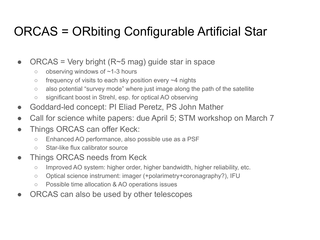# ORCAS = ORbiting Configurable Artificial Star

- ORCAS = Very bright  $(R~5~mag)$  guide star in space
	- observing windows of ~1-3 hours
	- $\circ$  frequency of visits to each sky position every  $\sim$ 4 nights
	- also potential "survey mode" where just image along the path of the satellite
	- significant boost in Strehl, esp. for optical AO observing
- Goddard-led concept: PI Eliad Peretz, PS John Mather
- Call for science white papers: due April 5; STM workshop on March 7
- Things ORCAS can offer Keck:
	- Enhanced AO performance, also possible use as a PSF
	- Star-like flux calibrator source
- Things ORCAS needs from Keck
	- Improved AO system: higher order, higher bandwidth, higher reliability, etc.
	- Optical science instrument: imager (+polarimetry+coronagraphy?), IFU
	- Possible time allocation & AO operations issues
- ORCAS can also be used by other telescopes